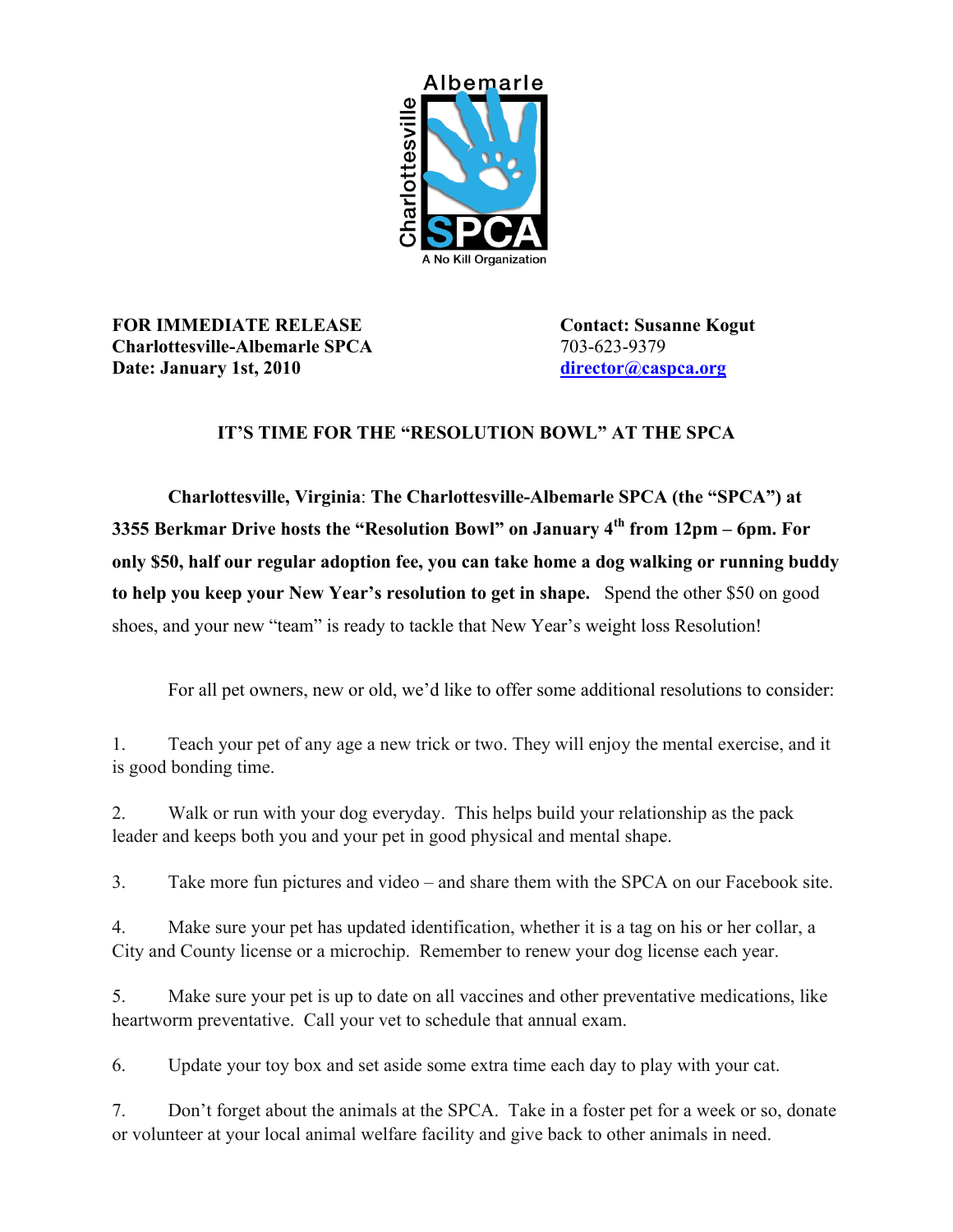

## **FOR IMMEDIATE RELEASE Contact: Susanne Kogut Charlottesville-Albemarle SPCA** 703-623-9379 **Date: January 1st, 2010 [director@caspca.org](mailto:director@caspca.org)**

## **IT'S TIME FOR THE "RESOLUTION BOWL" AT THE SPCA**

**Charlottesville, Virginia**: **The Charlottesville-Albemarle SPCA (the "SPCA") at 3355 Berkmar Drive hosts the "Resolution Bowl" on January 4th from 12pm – 6pm. For only \$50, half our regular adoption fee, you can take home a dog walking or running buddy to help you keep your New Year's resolution to get in shape.** Spend the other \$50 on good shoes, and your new "team" is ready to tackle that New Year's weight loss Resolution!

For all pet owners, new or old, we'd like to offer some additional resolutions to consider:

1. Teach your pet of any age a new trick or two. They will enjoy the mental exercise, and it is good bonding time.

2. Walk or run with your dog everyday. This helps build your relationship as the pack leader and keeps both you and your pet in good physical and mental shape.

3. Take more fun pictures and video – and share them with the SPCA on our Facebook site.

4. Make sure your pet has updated identification, whether it is a tag on his or her collar, a City and County license or a microchip. Remember to renew your dog license each year.

5. Make sure your pet is up to date on all vaccines and other preventative medications, like heartworm preventative. Call your vet to schedule that annual exam.

6. Update your toy box and set aside some extra time each day to play with your cat.

7. Don't forget about the animals at the SPCA. Take in a foster pet for a week or so, donate or volunteer at your local animal welfare facility and give back to other animals in need.